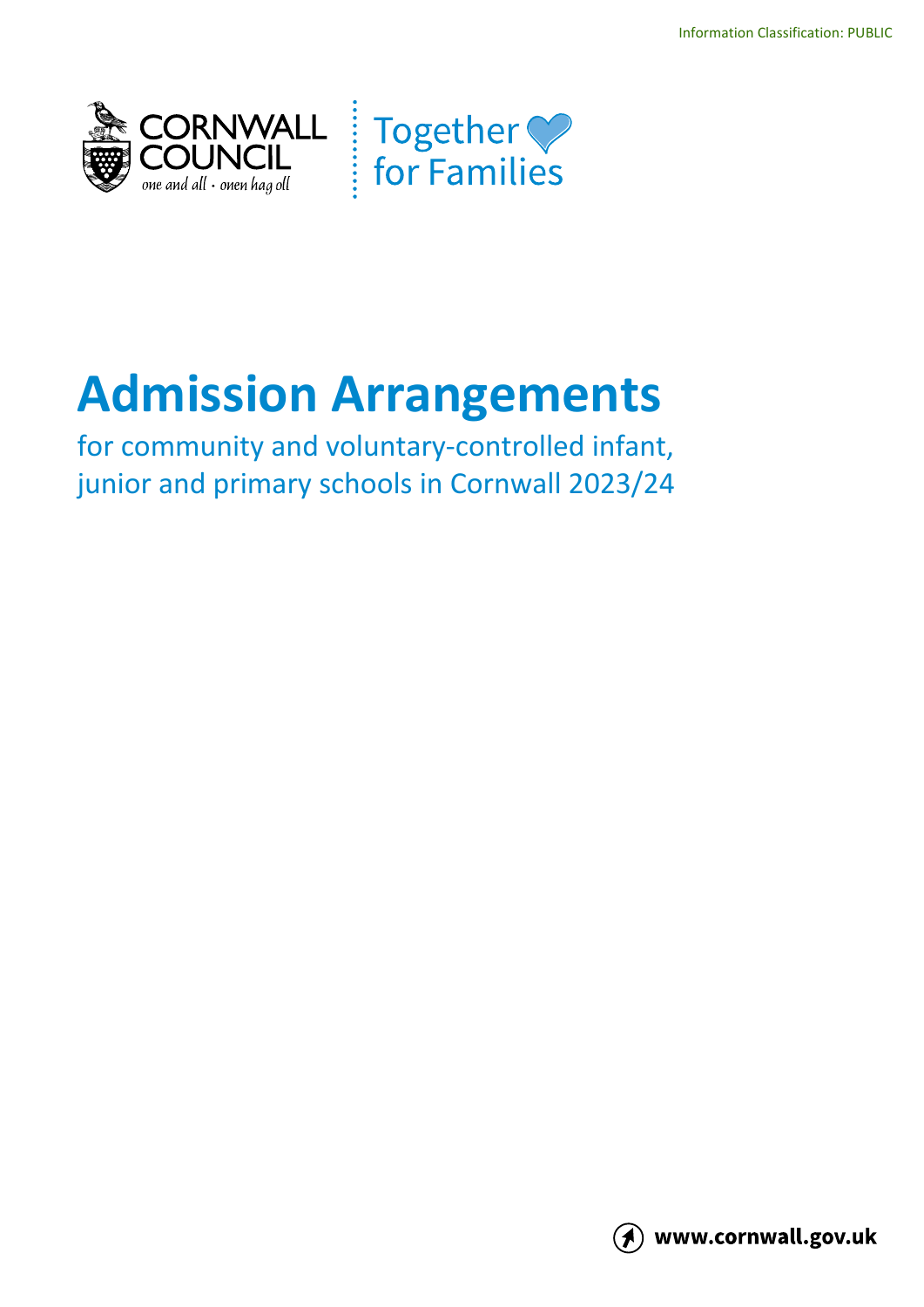



# **Admission Arrangements**

for community and voluntary-controlled infant, junior and primary schools in Cornwall 2023/24

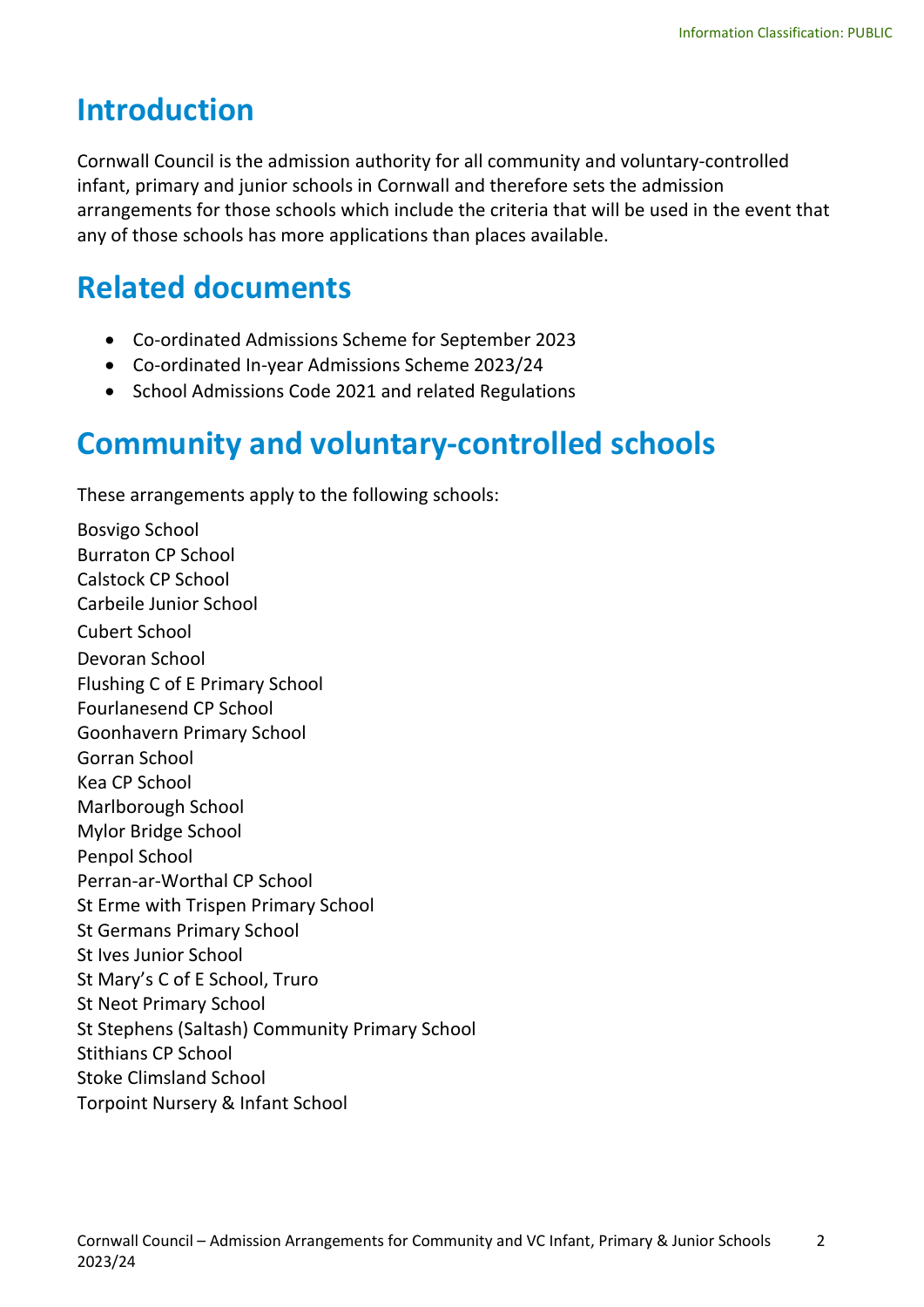### **Introduction**

Cornwall Council is the admission authority for all community and voluntary-controlled infant, primary and junior schools in Cornwall and therefore sets the admission arrangements for those schools which include the criteria that will be used in the event that any of those schools has more applications than places available.

### **Related documents**

- Co-ordinated Admissions Scheme for September 2023
- Co-ordinated In-year Admissions Scheme 2023/24
- School Admissions Code 2021 and related Regulations

### **Community and voluntary-controlled schools**

These arrangements apply to the following schools:

Bosvigo School Burraton CP School Calstock CP School Carbeile Junior School Cubert School Devoran School Flushing C of E Primary School Fourlanesend CP School Goonhavern Primary School Gorran School Kea CP School Marlborough School Mylor Bridge School Penpol School Perran-ar-Worthal CP School St Erme with Trispen Primary School St Germans Primary School St Ives Junior School St Mary's C of E School, Truro St Neot Primary School St Stephens (Saltash) Community Primary School Stithians CP School Stoke Climsland School Torpoint Nursery & Infant School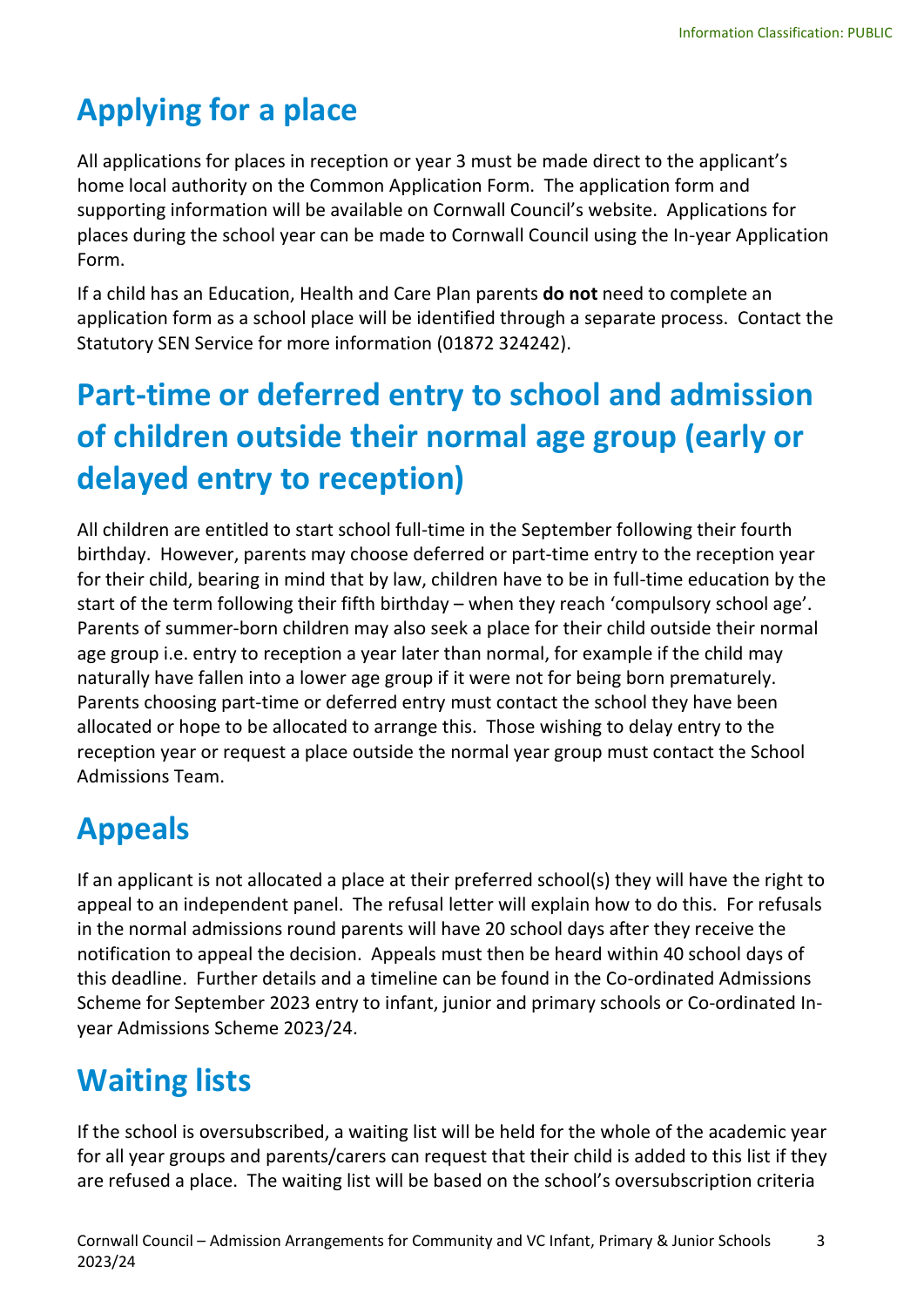## **Applying for a place**

All applications for places in reception or year 3 must be made direct to the applicant's home local authority on the Common Application Form. The application form and supporting information will be available on Cornwall Council's website. Applications for places during the school year can be made to Cornwall Council using the In-year Application Form.

If a child has an Education, Health and Care Plan parents **do not** need to complete an application form as a school place will be identified through a separate process. Contact the Statutory SEN Service for more information (01872 324242).

### **Part-time or deferred entry to school and admission of children outside their normal age group (early or delayed entry to reception)**

All children are entitled to start school full-time in the September following their fourth birthday. However, parents may choose deferred or part-time entry to the reception year for their child, bearing in mind that by law, children have to be in full-time education by the start of the term following their fifth birthday – when they reach 'compulsory school age'. Parents of summer-born children may also seek a place for their child outside their normal age group i.e. entry to reception a year later than normal, for example if the child may naturally have fallen into a lower age group if it were not for being born prematurely. Parents choosing part-time or deferred entry must contact the school they have been allocated or hope to be allocated to arrange this. Those wishing to delay entry to the reception year or request a place outside the normal year group must contact the School Admissions Team.

### **Appeals**

If an applicant is not allocated a place at their preferred school(s) they will have the right to appeal to an independent panel. The refusal letter will explain how to do this. For refusals in the normal admissions round parents will have 20 school days after they receive the notification to appeal the decision. Appeals must then be heard within 40 school days of this deadline. Further details and a timeline can be found in the Co-ordinated Admissions Scheme for September 2023 entry to infant, junior and primary schools or Co-ordinated Inyear Admissions Scheme 2023/24.

### **Waiting lists**

If the school is oversubscribed, a waiting list will be held for the whole of the academic year for all year groups and parents/carers can request that their child is added to this list if they are refused a place. The waiting list will be based on the school's oversubscription criteria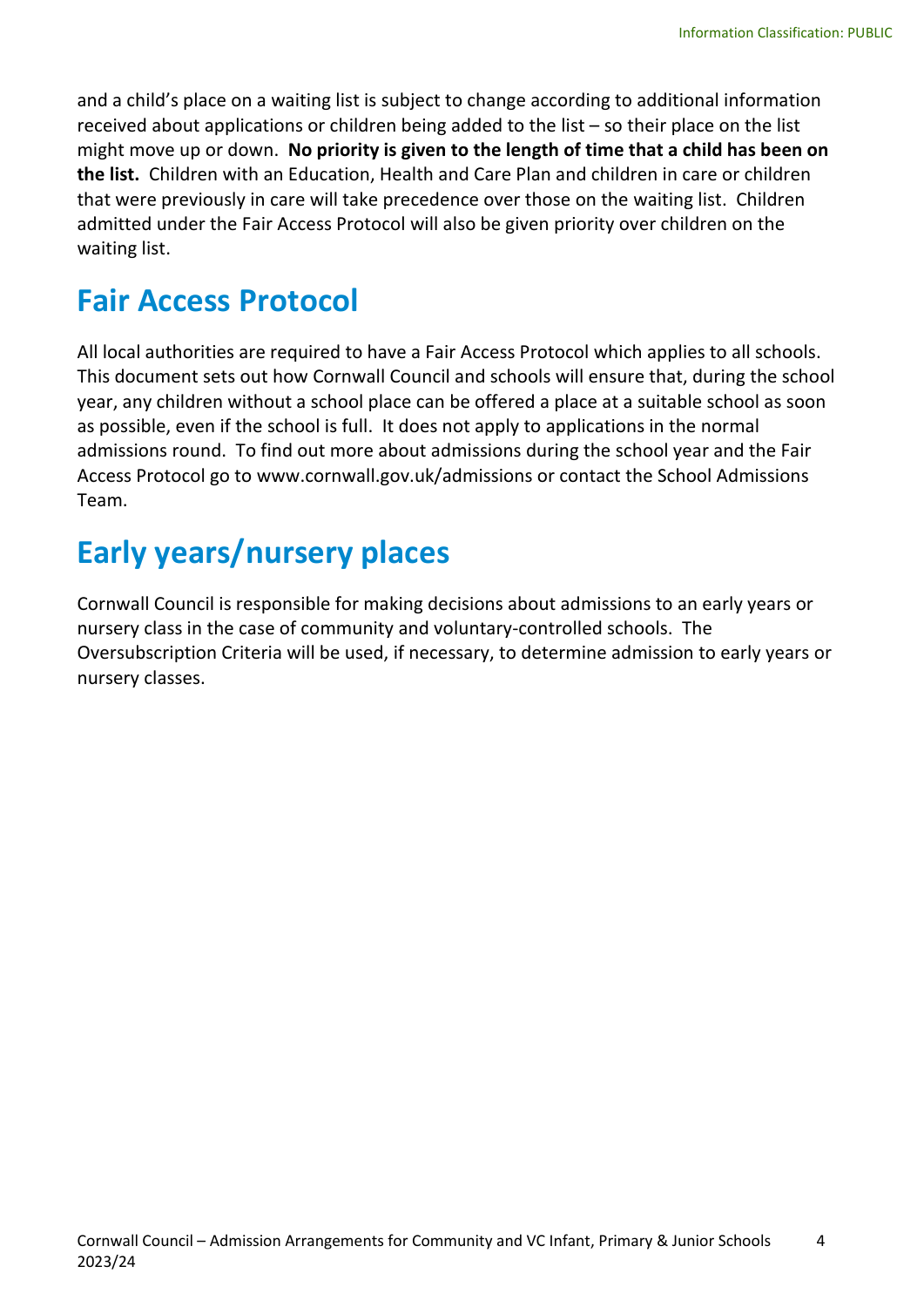and a child's place on a waiting list is subject to change according to additional information received about applications or children being added to the list – so their place on the list might move up or down. **No priority is given to the length of time that a child has been on the list.** Children with an Education, Health and Care Plan and children in care or children that were previously in care will take precedence over those on the waiting list. Children admitted under the Fair Access Protocol will also be given priority over children on the waiting list.

### **Fair Access Protocol**

All local authorities are required to have a Fair Access Protocol which applies to all schools. This document sets out how Cornwall Council and schools will ensure that, during the school year, any children without a school place can be offered a place at a suitable school as soon as possible, even if the school is full. It does not apply to applications in the normal admissions round. To find out more about admissions during the school year and the Fair Access Protocol go to www.cornwall.gov.uk/admissions or contact the School Admissions Team.

## **Early years/nursery places**

Cornwall Council is responsible for making decisions about admissions to an early years or nursery class in the case of community and voluntary-controlled schools. The Oversubscription Criteria will be used, if necessary, to determine admission to early years or nursery classes.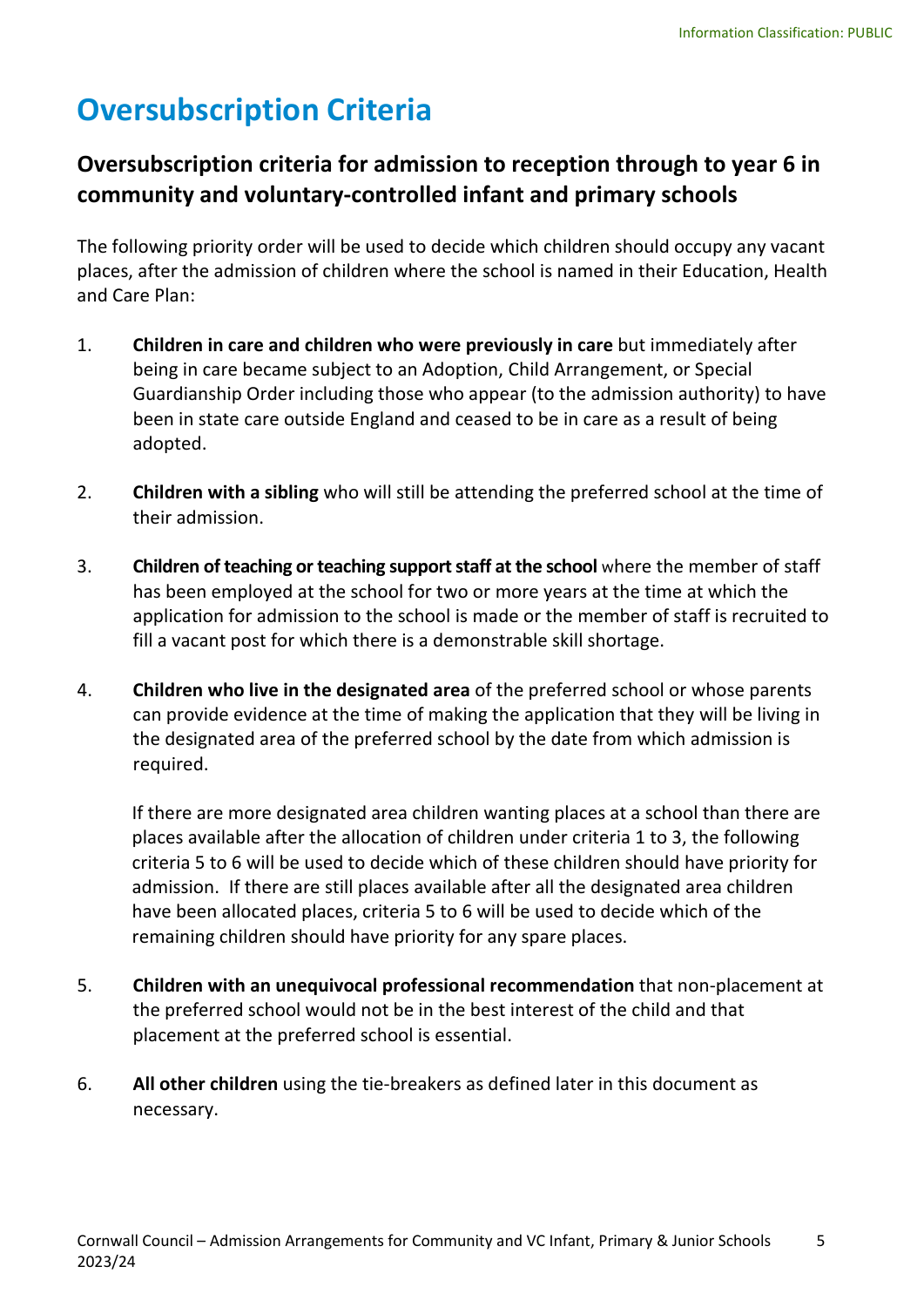### **Oversubscription Criteria**

#### **Oversubscription criteria for admission to reception through to year 6 in community and voluntary-controlled infant and primary schools**

The following priority order will be used to decide which children should occupy any vacant places, after the admission of children where the school is named in their Education, Health and Care Plan:

- 1. **Children in care and children who were previously in care** but immediately after being in care became subject to an Adoption, Child Arrangement, or Special Guardianship Order including those who appear (to the admission authority) to have been in state care outside England and ceased to be in care as a result of being adopted.
- 2. **Children with a sibling** who will still be attending the preferred school at the time of their admission.
- 3. **Children of teaching or teaching support staff at the school** where the member of staff has been employed at the school for two or more years at the time at which the application for admission to the school is made or the member of staff is recruited to fill a vacant post for which there is a demonstrable skill shortage.
- 4. **Children who live in the designated area** of the preferred school or whose parents can provide evidence at the time of making the application that they will be living in the designated area of the preferred school by the date from which admission is required.

If there are more designated area children wanting places at a school than there are places available after the allocation of children under criteria 1 to 3, the following criteria 5 to 6 will be used to decide which of these children should have priority for admission. If there are still places available after all the designated area children have been allocated places, criteria 5 to 6 will be used to decide which of the remaining children should have priority for any spare places.

- 5. **Children with an unequivocal professional recommendation** that non-placement at the preferred school would not be in the best interest of the child and that placement at the preferred school is essential.
- 6. **All other children** using the tie-breakers as defined later in this document as necessary.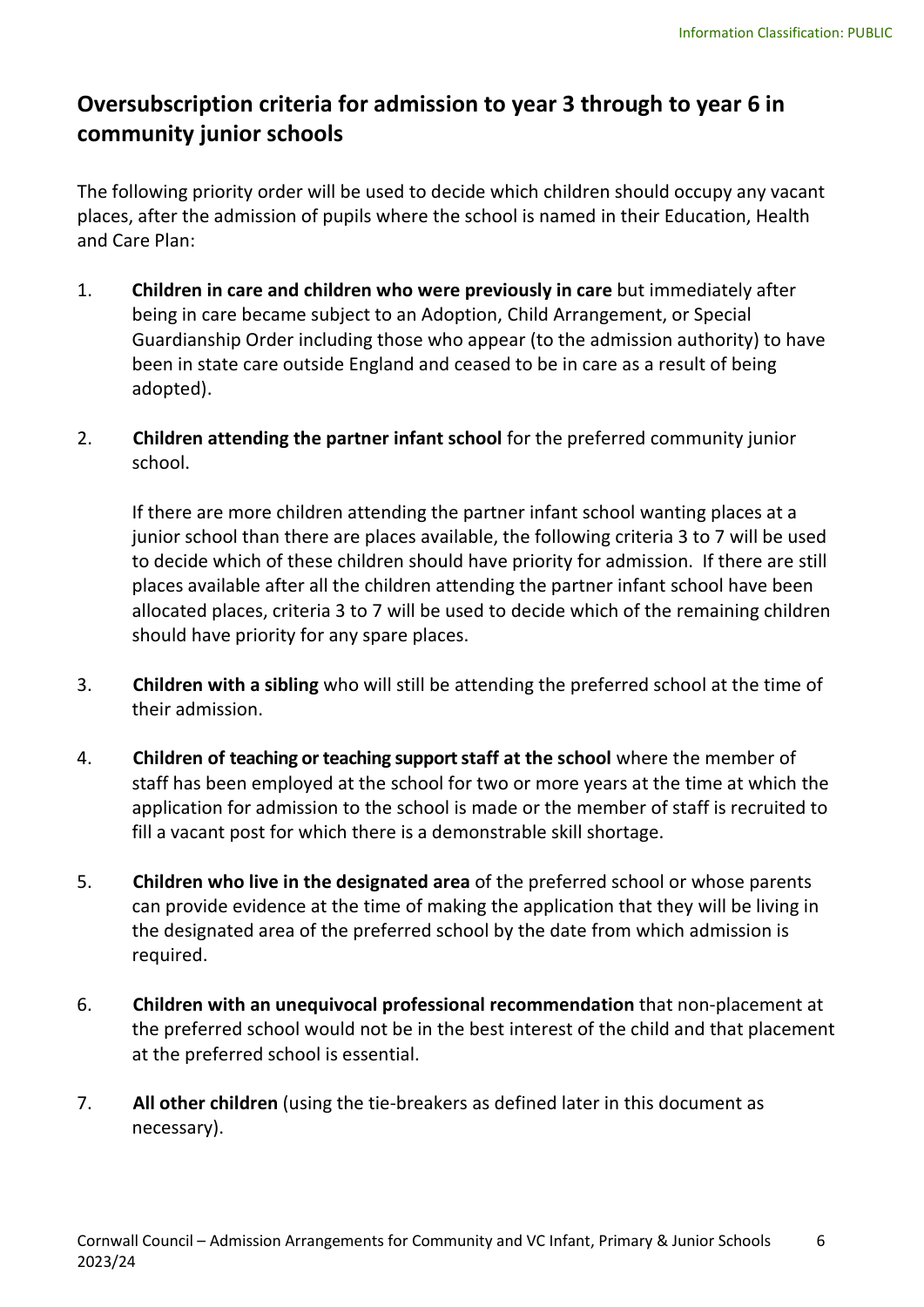#### **Oversubscription criteria for admission to year 3 through to year 6 in community junior schools**

The following priority order will be used to decide which children should occupy any vacant places, after the admission of pupils where the school is named in their Education, Health and Care Plan:

- 1. **Children in care and children who were previously in care** but immediately after being in care became subject to an Adoption, Child Arrangement, or Special Guardianship Order including those who appear (to the admission authority) to have been in state care outside England and ceased to be in care as a result of being adopted).
- 2. **Children attending the partner infant school** for the preferred community junior school.

If there are more children attending the partner infant school wanting places at a junior school than there are places available, the following criteria 3 to 7 will be used to decide which of these children should have priority for admission. If there are still places available after all the children attending the partner infant school have been allocated places, criteria 3 to 7 will be used to decide which of the remaining children should have priority for any spare places.

- 3. **Children with a sibling** who will still be attending the preferred school at the time of their admission.
- 4. **Children of teaching or teaching support staff at the school** where the member of staff has been employed at the school for two or more years at the time at which the application for admission to the school is made or the member of staff is recruited to fill a vacant post for which there is a demonstrable skill shortage.
- 5. **Children who live in the designated area** of the preferred school or whose parents can provide evidence at the time of making the application that they will be living in the designated area of the preferred school by the date from which admission is required.
- 6. **Children with an unequivocal professional recommendation** that non-placement at the preferred school would not be in the best interest of the child and that placement at the preferred school is essential.
- 7. **All other children** (using the tie-breakers as defined later in this document as necessary).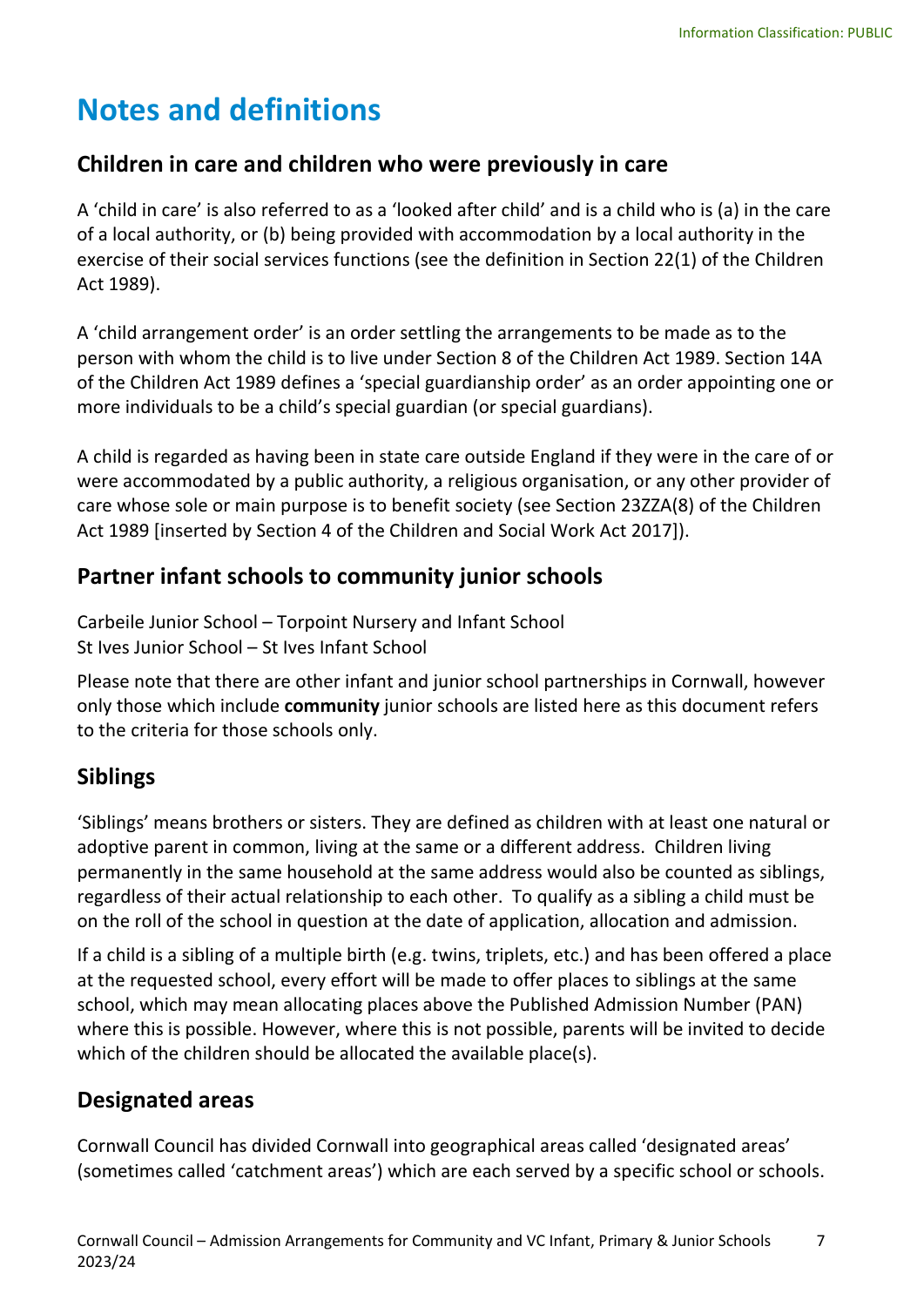### **Notes and definitions**

#### **Children in care and children who were previously in care**

A 'child in care' is also referred to as a 'looked after child' and is a child who is (a) in the care of a local authority, or (b) being provided with accommodation by a local authority in the exercise of their social services functions (see the definition in Section 22(1) of the Children Act 1989).

A 'child arrangement order' is an order settling the arrangements to be made as to the person with whom the child is to live under Section 8 of the Children Act 1989. Section 14A of the Children Act 1989 defines a 'special guardianship order' as an order appointing one or more individuals to be a child's special guardian (or special guardians).

A child is regarded as having been in state care outside England if they were in the care of or were accommodated by a public authority, a religious organisation, or any other provider of care whose sole or main purpose is to benefit society (see Section 23ZZA(8) of the Children Act 1989 [inserted by Section 4 of the Children and Social Work Act 2017]).

#### **Partner infant schools to community junior schools**

Carbeile Junior School – Torpoint Nursery and Infant School St Ives Junior School – St Ives Infant School

Please note that there are other infant and junior school partnerships in Cornwall, however only those which include **community** junior schools are listed here as this document refers to the criteria for those schools only.

#### **Siblings**

'Siblings' means brothers or sisters. They are defined as children with at least one natural or adoptive parent in common, living at the same or a different address. Children living permanently in the same household at the same address would also be counted as siblings, regardless of their actual relationship to each other. To qualify as a sibling a child must be on the roll of the school in question at the date of application, allocation and admission.

If a child is a sibling of a multiple birth (e.g. twins, triplets, etc.) and has been offered a place at the requested school, every effort will be made to offer places to siblings at the same school, which may mean allocating places above the Published Admission Number (PAN) where this is possible. However, where this is not possible, parents will be invited to decide which of the children should be allocated the available place(s).

#### **Designated areas**

Cornwall Council has divided Cornwall into geographical areas called 'designated areas' (sometimes called 'catchment areas') which are each served by a specific school or schools.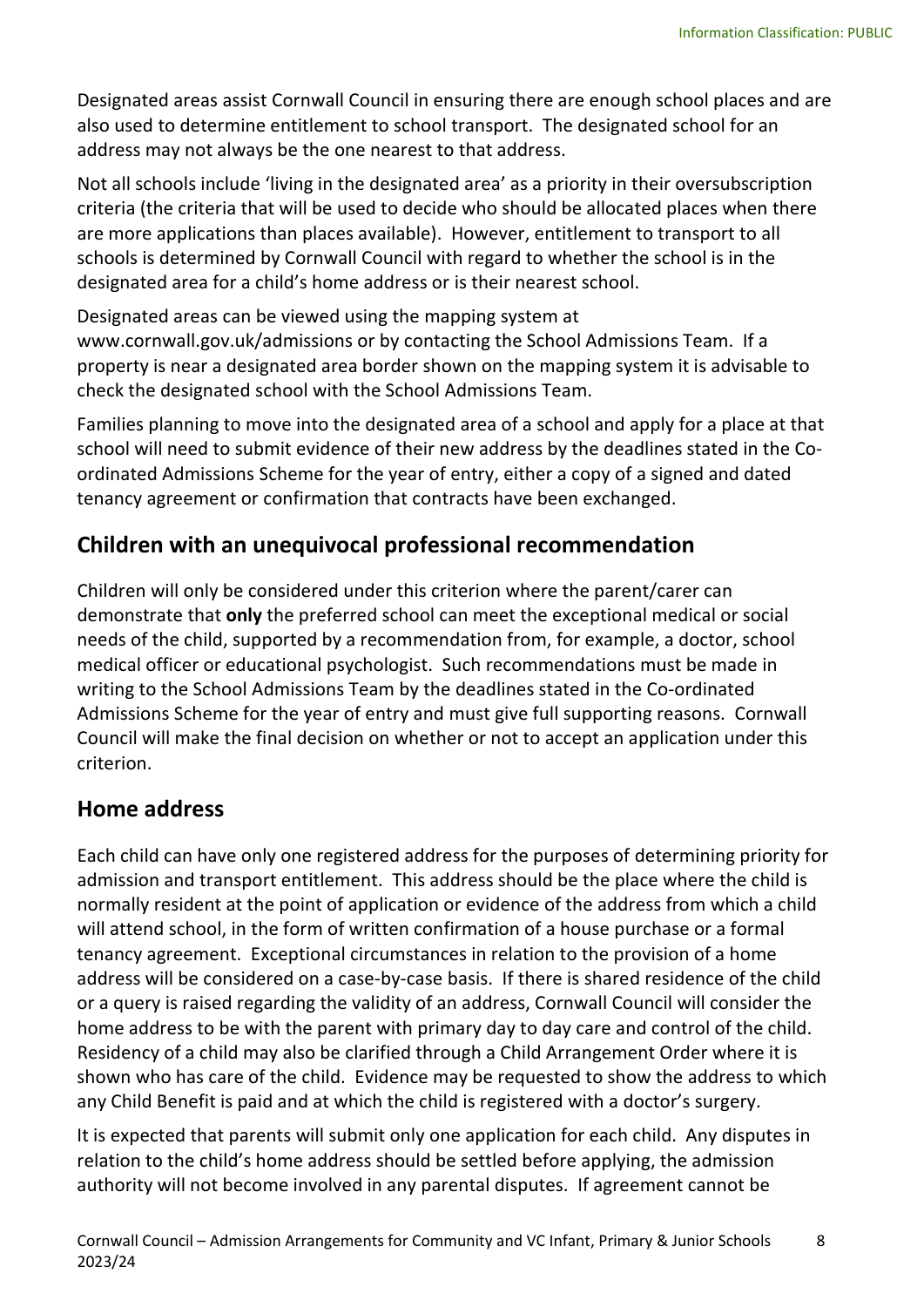Designated areas assist Cornwall Council in ensuring there are enough school places and are also used to determine entitlement to school transport. The designated school for an address may not always be the one nearest to that address.

Not all schools include 'living in the designated area' as a priority in their oversubscription criteria (the criteria that will be used to decide who should be allocated places when there are more applications than places available). However, entitlement to transport to all schools is determined by Cornwall Council with regard to whether the school is in the designated area for a child's home address or is their nearest school.

Designated areas can be viewed using the mapping system at www.cornwall.gov.uk/admissions or by contacting the School Admissions Team. If a property is near a designated area border shown on the mapping system it is advisable to check the designated school with the School Admissions Team.

Families planning to move into the designated area of a school and apply for a place at that school will need to submit evidence of their new address by the deadlines stated in the Coordinated Admissions Scheme for the year of entry, either a copy of a signed and dated tenancy agreement or confirmation that contracts have been exchanged.

#### **Children with an unequivocal professional recommendation**

Children will only be considered under this criterion where the parent/carer can demonstrate that **only** the preferred school can meet the exceptional medical or social needs of the child, supported by a recommendation from, for example, a doctor, school medical officer or educational psychologist. Such recommendations must be made in writing to the School Admissions Team by the deadlines stated in the Co-ordinated Admissions Scheme for the year of entry and must give full supporting reasons. Cornwall Council will make the final decision on whether or not to accept an application under this criterion.

#### **Home address**

Each child can have only one registered address for the purposes of determining priority for admission and transport entitlement. This address should be the place where the child is normally resident at the point of application or evidence of the address from which a child will attend school, in the form of written confirmation of a house purchase or a formal tenancy agreement. Exceptional circumstances in relation to the provision of a home address will be considered on a case-by-case basis. If there is shared residence of the child or a query is raised regarding the validity of an address, Cornwall Council will consider the home address to be with the parent with primary day to day care and control of the child. Residency of a child may also be clarified through a Child Arrangement Order where it is shown who has care of the child. Evidence may be requested to show the address to which any Child Benefit is paid and at which the child is registered with a doctor's surgery.

It is expected that parents will submit only one application for each child. Any disputes in relation to the child's home address should be settled before applying, the admission authority will not become involved in any parental disputes. If agreement cannot be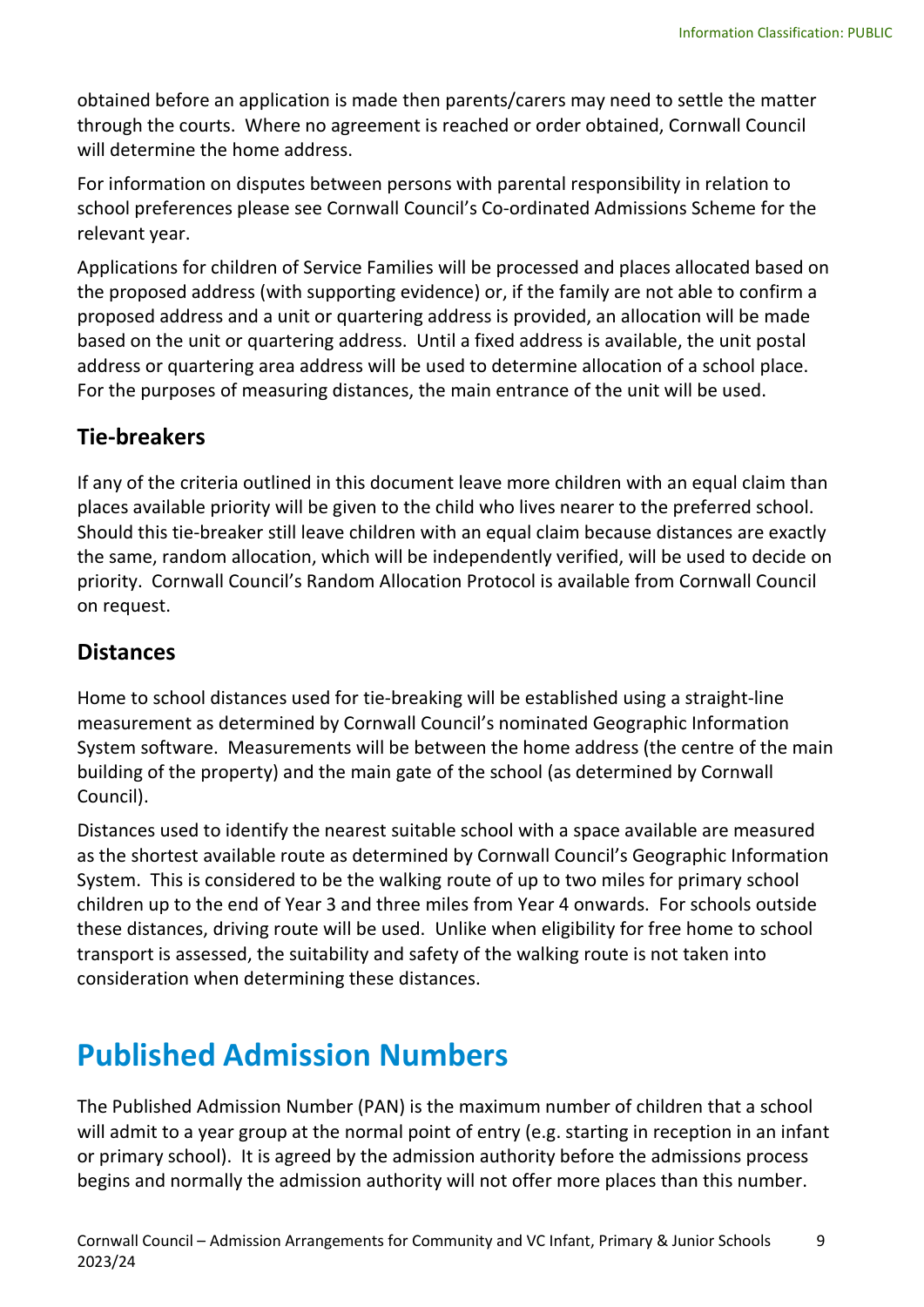obtained before an application is made then parents/carers may need to settle the matter through the courts. Where no agreement is reached or order obtained, Cornwall Council will determine the home address.

For information on disputes between persons with parental responsibility in relation to school preferences please see Cornwall Council's Co-ordinated Admissions Scheme for the relevant year.

Applications for children of Service Families will be processed and places allocated based on the proposed address (with supporting evidence) or, if the family are not able to confirm a proposed address and a unit or quartering address is provided, an allocation will be made based on the unit or quartering address. Until a fixed address is available, the unit postal address or quartering area address will be used to determine allocation of a school place. For the purposes of measuring distances, the main entrance of the unit will be used.

#### **Tie-breakers**

If any of the criteria outlined in this document leave more children with an equal claim than places available priority will be given to the child who lives nearer to the preferred school. Should this tie-breaker still leave children with an equal claim because distances are exactly the same, random allocation, which will be independently verified, will be used to decide on priority. Cornwall Council's Random Allocation Protocol is available from Cornwall Council on request.

#### **Distances**

Home to school distances used for tie-breaking will be established using a straight-line measurement as determined by Cornwall Council's nominated Geographic Information System software. Measurements will be between the home address (the centre of the main building of the property) and the main gate of the school (as determined by Cornwall Council).

Distances used to identify the nearest suitable school with a space available are measured as the shortest available route as determined by Cornwall Council's Geographic Information System. This is considered to be the walking route of up to two miles for primary school children up to the end of Year 3 and three miles from Year 4 onwards. For schools outside these distances, driving route will be used. Unlike when eligibility for free home to school transport is assessed, the suitability and safety of the walking route is not taken into consideration when determining these distances.

### **Published Admission Numbers**

The Published Admission Number (PAN) is the maximum number of children that a school will admit to a year group at the normal point of entry (e.g. starting in reception in an infant or primary school). It is agreed by the admission authority before the admissions process begins and normally the admission authority will not offer more places than this number.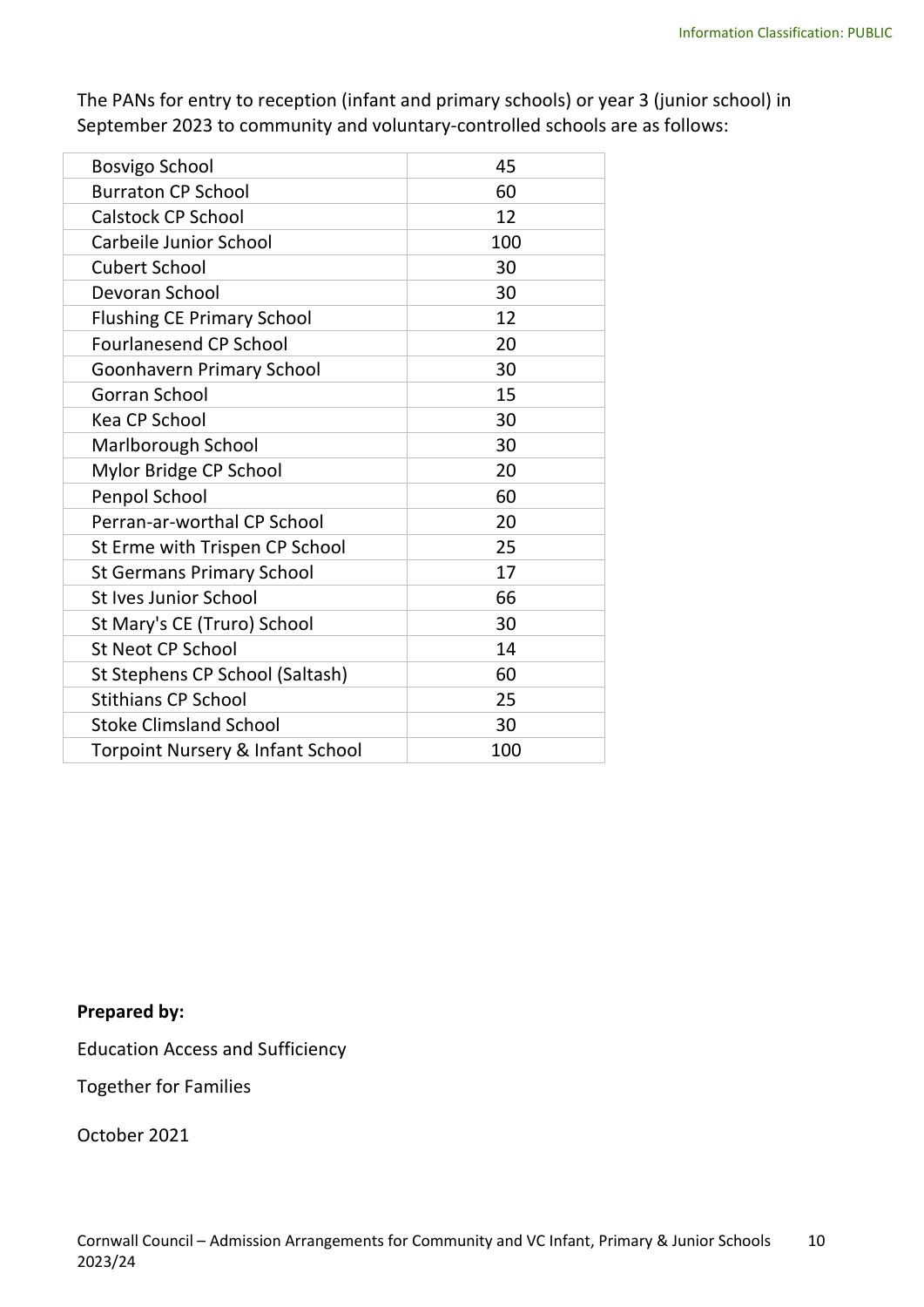The PANs for entry to reception (infant and primary schools) or year 3 (junior school) in September 2023 to community and voluntary-controlled schools are as follows:

| <b>Bosvigo School</b>                       | 45  |
|---------------------------------------------|-----|
| <b>Burraton CP School</b>                   | 60  |
| <b>Calstock CP School</b>                   | 12  |
| Carbeile Junior School                      | 100 |
| <b>Cubert School</b>                        | 30  |
| Devoran School                              | 30  |
| <b>Flushing CE Primary School</b>           | 12  |
| <b>Fourlanesend CP School</b>               | 20  |
| <b>Goonhavern Primary School</b>            | 30  |
| Gorran School                               | 15  |
| <b>Kea CP School</b>                        | 30  |
| Marlborough School                          | 30  |
| Mylor Bridge CP School                      | 20  |
| Penpol School                               | 60  |
| Perran-ar-worthal CP School                 | 20  |
| St Erme with Trispen CP School              | 25  |
| <b>St Germans Primary School</b>            | 17  |
| St Ives Junior School                       | 66  |
| St Mary's CE (Truro) School                 | 30  |
| <b>St Neot CP School</b>                    | 14  |
| St Stephens CP School (Saltash)             | 60  |
| <b>Stithians CP School</b>                  | 25  |
| <b>Stoke Climsland School</b>               | 30  |
| <b>Torpoint Nursery &amp; Infant School</b> | 100 |

#### **Prepared by:**

Education Access and Sufficiency

Together for Families

October 2021